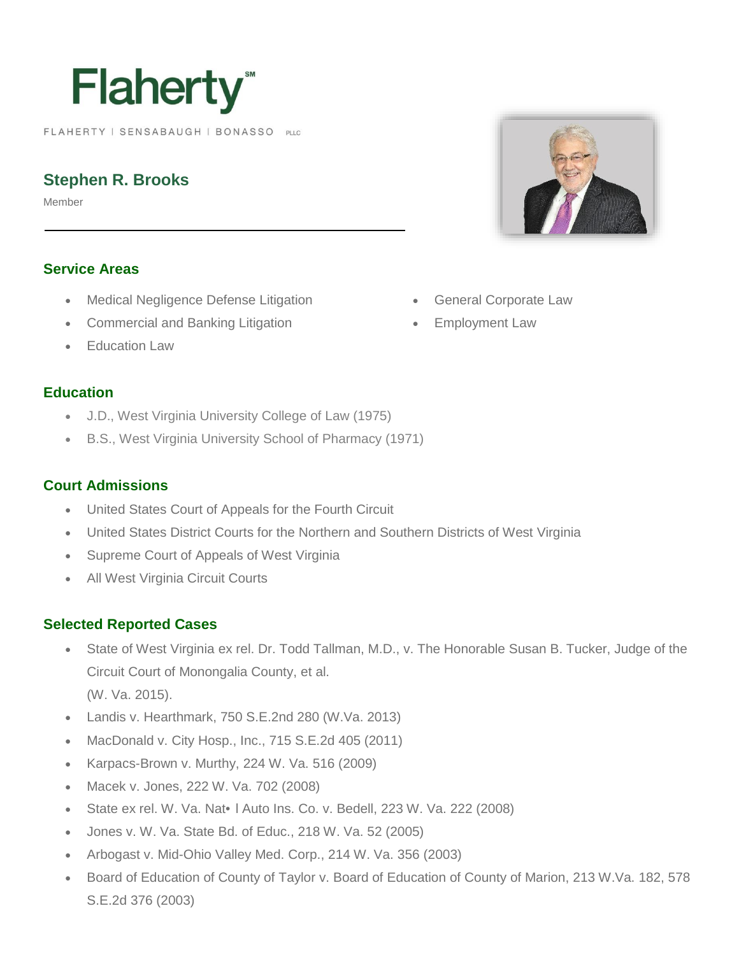# **Flaherty**

FLAHERTY | SENSABAUGH | BONASSO PLLC

# **Stephen R. Brooks**

Member

#### **Service Areas**

- Medical Negligence Defense Litigation
- Commercial and Banking Litigation
- Education Law

#### **Education**

- J.D., West Virginia University College of Law (1975)
- B.S., West Virginia University School of Pharmacy (1971)

#### **Court Admissions**

- United States Court of Appeals for the Fourth Circuit
- United States District Courts for the Northern and Southern Districts of West Virginia
- Supreme Court of Appeals of West Virginia
- All West Virginia Circuit Courts

#### **Selected Reported Cases**

- State of West Virginia ex rel. Dr. Todd Tallman, M.D., v. The Honorable Susan B. Tucker, Judge of the Circuit Court of Monongalia County, et al. (W. Va. 2015).
- Landis v. Hearthmark, 750 S.E.2nd 280 (W.Va. 2013)
- MacDonald v. City Hosp., Inc., 715 S.E.2d 405 (2011)
- Karpacs-Brown v. Murthy, 224 W. Va. 516 (2009)
- Macek v. Jones, 222 W. Va. 702 (2008)
- State ex rel. W. Va. Nat•l Auto Ins. Co. v. Bedell, 223 W. Va. 222 (2008)
- Jones v. W. Va. State Bd. of Educ., 218 W. Va. 52 (2005)
- Arbogast v. Mid-Ohio Valley Med. Corp., 214 W. Va. 356 (2003)
- Board of Education of County of Taylor v. Board of Education of County of Marion, 213 W.Va. 182, 578 S.E.2d 376 (2003)



- General Corporate Law
- Employment Law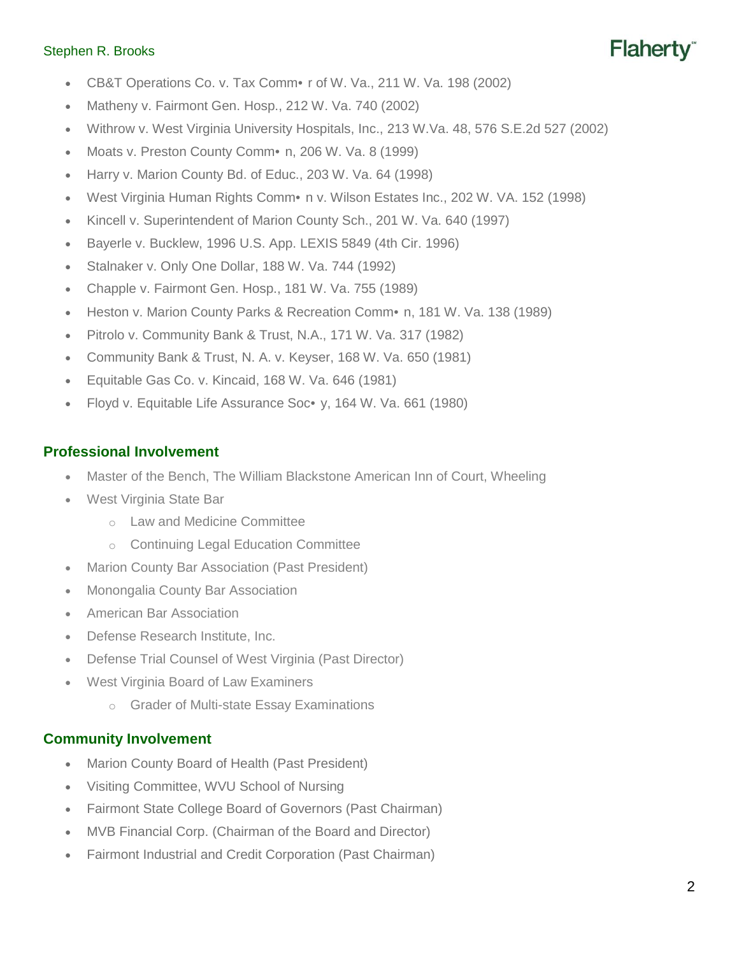#### Stephen R. Brooks

- CB&T Operations Co. v. Tax Comm• r of W. Va., 211 W. Va. 198 (2002)
- Matheny v. Fairmont Gen. Hosp., 212 W. Va. 740 (2002)
- Withrow v. West Virginia University Hospitals, Inc., 213 W.Va. 48, 576 S.E.2d 527 (2002)
- Moats v. Preston County Comm•n, 206 W. Va. 8 (1999)
- Harry v. Marion County Bd. of Educ., 203 W. Va. 64 (1998)
- West Virginia Human Rights Comm•n v. Wilson Estates Inc., 202 W. VA. 152 (1998)
- Kincell v. Superintendent of Marion County Sch., 201 W. Va. 640 (1997)
- Bayerle v. Bucklew, 1996 U.S. App. LEXIS 5849 (4th Cir. 1996)
- Stalnaker v. Only One Dollar, 188 W. Va. 744 (1992)
- Chapple v. Fairmont Gen. Hosp., 181 W. Va. 755 (1989)
- Heston v. Marion County Parks & Recreation Comm•n, 181 W. Va. 138 (1989)
- Pitrolo v. Community Bank & Trust, N.A., 171 W. Va. 317 (1982)
- Community Bank & Trust, N. A. v. Keyser, 168 W. Va. 650 (1981)
- Equitable Gas Co. v. Kincaid, 168 W. Va. 646 (1981)
- Floyd v. Equitable Life Assurance Soc•y, 164 W. Va. 661 (1980)

#### **Professional Involvement**

- Master of the Bench, The William Blackstone American Inn of Court, Wheeling
- West Virginia State Bar
	- o Law and Medicine Committee
	- o Continuing Legal Education Committee
- Marion County Bar Association (Past President)
- Monongalia County Bar Association
- American Bar Association
- Defense Research Institute, Inc.
- Defense Trial Counsel of West Virginia (Past Director)
- West Virginia Board of Law Examiners
	- o Grader of Multi-state Essay Examinations

#### **Community Involvement**

- Marion County Board of Health (Past President)
- Visiting Committee, WVU School of Nursing
- Fairmont State College Board of Governors (Past Chairman)
- MVB Financial Corp. (Chairman of the Board and Director)
- Fairmont Industrial and Credit Corporation (Past Chairman)

Flaherty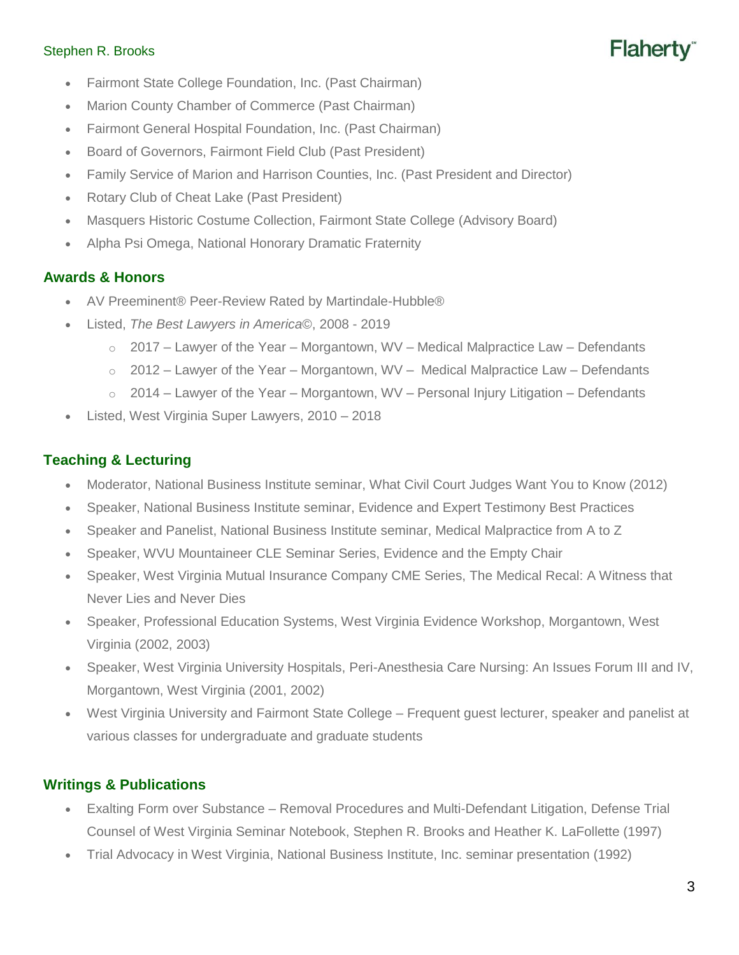#### Stephen R. Brooks



- Fairmont State College Foundation, Inc. (Past Chairman)
- Marion County Chamber of Commerce (Past Chairman)
- Fairmont General Hospital Foundation, Inc. (Past Chairman)
- Board of Governors, Fairmont Field Club (Past President)
- Family Service of Marion and Harrison Counties, Inc. (Past President and Director)
- Rotary Club of Cheat Lake (Past President)
- Masquers Historic Costume Collection, Fairmont State College (Advisory Board)
- Alpha Psi Omega, National Honorary Dramatic Fraternity

#### **Awards & Honors**

- AV Preeminent® Peer-Review Rated by Martindale-Hubble®
- Listed, *The Best Lawyers in America©*, 2008 2019
	- $\circ$  2017 Lawyer of the Year Morgantown, WV Medical Malpractice Law Defendants
	- $\circ$  2012 Lawyer of the Year Morgantown, WV Medical Malpractice Law Defendants
	- $\circ$  2014 Lawyer of the Year Morgantown, WV Personal Injury Litigation Defendants
- Listed, West Virginia Super Lawyers, 2010 2018

## **Teaching & Lecturing**

- Moderator, National Business Institute seminar, What Civil Court Judges Want You to Know (2012)
- Speaker, National Business Institute seminar, Evidence and Expert Testimony Best Practices
- Speaker and Panelist, National Business Institute seminar, Medical Malpractice from A to Z
- Speaker, WVU Mountaineer CLE Seminar Series, Evidence and the Empty Chair
- Speaker, West Virginia Mutual Insurance Company CME Series, The Medical Recal: A Witness that Never Lies and Never Dies
- Speaker, Professional Education Systems, West Virginia Evidence Workshop, Morgantown, West Virginia (2002, 2003)
- Speaker, West Virginia University Hospitals, Peri-Anesthesia Care Nursing: An Issues Forum III and IV, Morgantown, West Virginia (2001, 2002)
- West Virginia University and Fairmont State College Frequent guest lecturer, speaker and panelist at various classes for undergraduate and graduate students

### **Writings & Publications**

- Exalting Form over Substance Removal Procedures and Multi-Defendant Litigation, Defense Trial Counsel of West Virginia Seminar Notebook, Stephen R. Brooks and Heather K. LaFollette (1997)
- Trial Advocacy in West Virginia, National Business Institute, Inc. seminar presentation (1992)